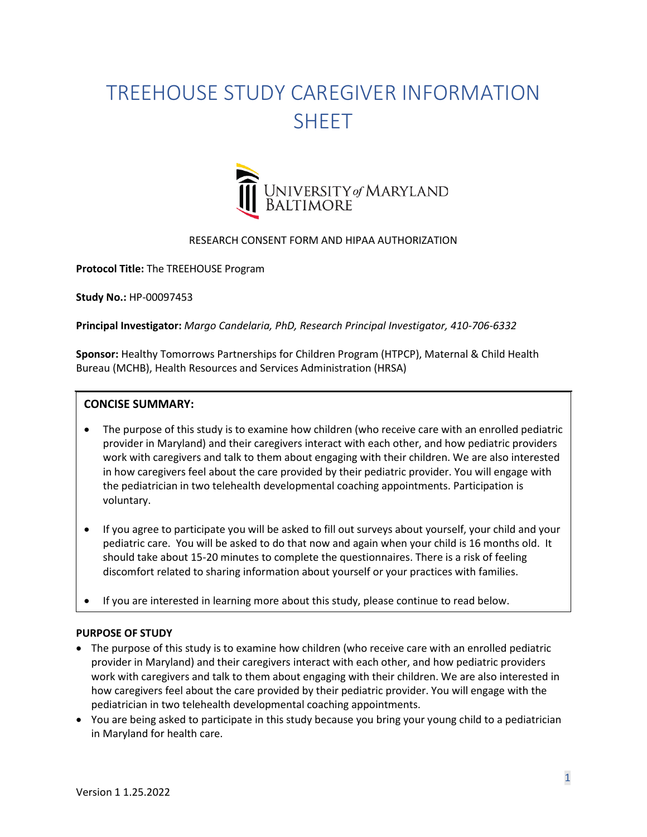# TREEHOUSE STUDY CAREGIVER INFORMATION **SHEFT**



# RESEARCH CONSENT FORM AND HIPAA AUTHORIZATION

**Protocol Title:** The TREEHOUSE Program

**Study No.:** HP-00097453

**Principal Investigator:** *Margo Candelaria, PhD, Research Principal Investigator, 410-706-6332*

**Sponsor:** Healthy Tomorrows Partnerships for Children Program (HTPCP), Maternal & Child Health Bureau (MCHB), Health Resources and Services Administration (HRSA)

# **CONCISE SUMMARY:**

- The purpose of this study is to examine how children (who receive care with an enrolled pediatric provider in Maryland) and their caregivers interact with each other, and how pediatric providers work with caregivers and talk to them about engaging with their children. We are also interested in how caregivers feel about the care provided by their pediatric provider. You will engage with the pediatrician in two telehealth developmental coaching appointments. Participation is voluntary.
- If you agree to participate you will be asked to fill out surveys about yourself, your child and your pediatric care. You will be asked to do that now and again when your child is 16 months old. It should take about 15-20 minutes to complete the questionnaires. There is a risk of feeling discomfort related to sharing information about yourself or your practices with families.
- If you are interested in learning more about this study, please continue to read below.

# **PURPOSE OF STUDY**

- The purpose of this study is to examine how children (who receive care with an enrolled pediatric provider in Maryland) and their caregivers interact with each other, and how pediatric providers work with caregivers and talk to them about engaging with their children. We are also interested in how caregivers feel about the care provided by their pediatric provider. You will engage with the pediatrician in two telehealth developmental coaching appointments.
- You are being asked to participate in this study because you bring your young child to a pediatrician in Maryland for health care.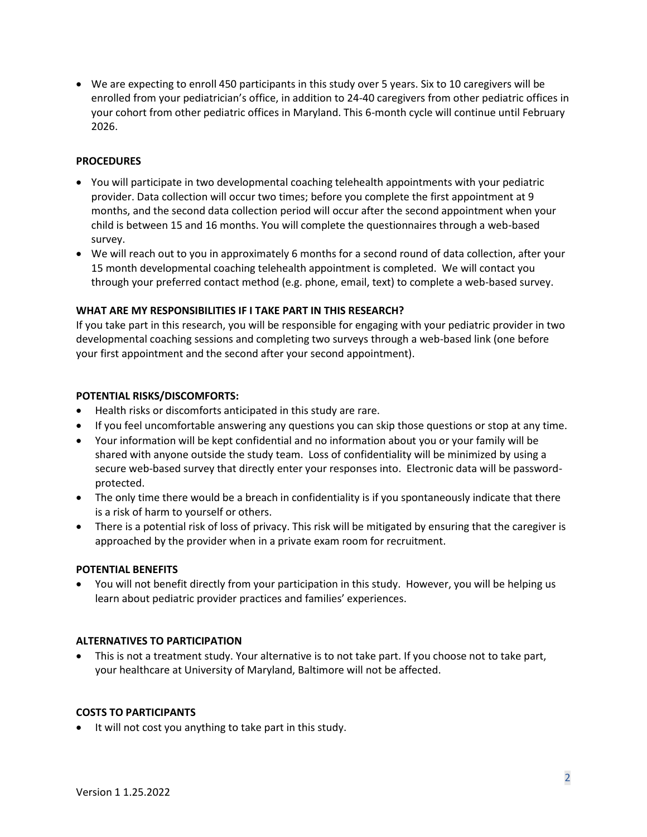• We are expecting to enroll 450 participants in this study over 5 years. Six to 10 caregivers will be enrolled from your pediatrician's office, in addition to 24-40 caregivers from other pediatric offices in your cohort from other pediatric offices in Maryland. This 6-month cycle will continue until February 2026.

## **PROCEDURES**

- You will participate in two developmental coaching telehealth appointments with your pediatric provider. Data collection will occur two times; before you complete the first appointment at 9 months, and the second data collection period will occur after the second appointment when your child is between 15 and 16 months. You will complete the questionnaires through a web-based survey.
- We will reach out to you in approximately 6 months for a second round of data collection, after your 15 month developmental coaching telehealth appointment is completed. We will contact you through your preferred contact method (e.g. phone, email, text) to complete a web-based survey.

# **WHAT ARE MY RESPONSIBILITIES IF I TAKE PART IN THIS RESEARCH?**

If you take part in this research, you will be responsible for engaging with your pediatric provider in two developmental coaching sessions and completing two surveys through a web-based link (one before your first appointment and the second after your second appointment).

### **POTENTIAL RISKS/DISCOMFORTS:**

- Health risks or discomforts anticipated in this study are rare.
- If you feel uncomfortable answering any questions you can skip those questions or stop at any time.
- Your information will be kept confidential and no information about you or your family will be shared with anyone outside the study team. Loss of confidentiality will be minimized by using a secure web-based survey that directly enter your responses into. Electronic data will be passwordprotected.
- The only time there would be a breach in confidentiality is if you spontaneously indicate that there is a risk of harm to yourself or others.
- There is a potential risk of loss of privacy. This risk will be mitigated by ensuring that the caregiver is approached by the provider when in a private exam room for recruitment.

#### **POTENTIAL BENEFITS**

• You will not benefit directly from your participation in this study. However, you will be helping us learn about pediatric provider practices and families' experiences.

#### **ALTERNATIVES TO PARTICIPATION**

• This is not a treatment study. Your alternative is to not take part. If you choose not to take part, your healthcare at University of Maryland, Baltimore will not be affected.

#### **COSTS TO PARTICIPANTS**

• It will not cost you anything to take part in this study.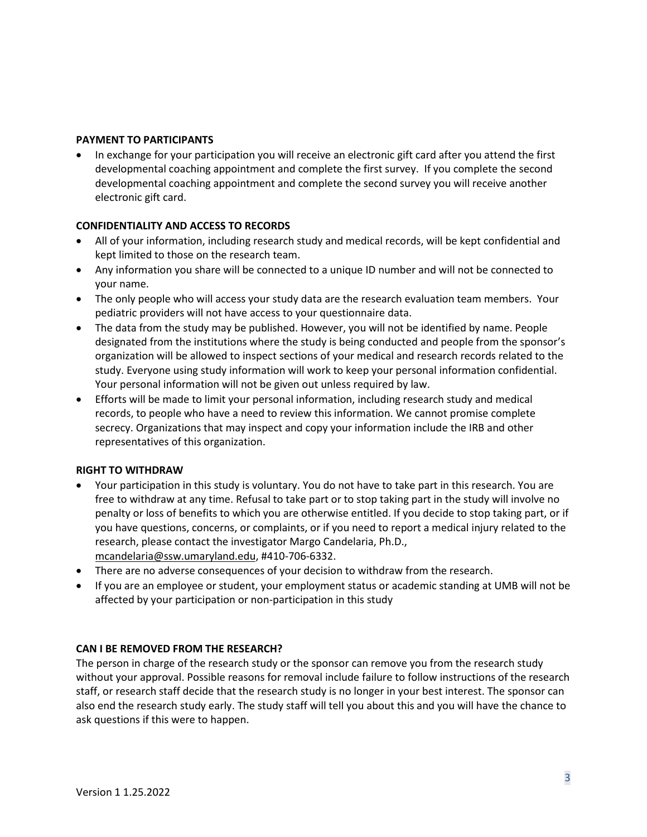# **PAYMENT TO PARTICIPANTS**

• In exchange for your participation you will receive an electronic gift card after you attend the first developmental coaching appointment and complete the first survey. If you complete the second developmental coaching appointment and complete the second survey you will receive another electronic gift card.

# **CONFIDENTIALITY AND ACCESS TO RECORDS**

- All of your information, including research study and medical records, will be kept confidential and kept limited to those on the research team.
- Any information you share will be connected to a unique ID number and will not be connected to your name.
- The only people who will access your study data are the research evaluation team members. Your pediatric providers will not have access to your questionnaire data.
- The data from the study may be published. However, you will not be identified by name. People designated from the institutions where the study is being conducted and people from the sponsor's organization will be allowed to inspect sections of your medical and research records related to the study. Everyone using study information will work to keep your personal information confidential. Your personal information will not be given out unless required by law.
- Efforts will be made to limit your personal information, including research study and medical records, to people who have a need to review this information. We cannot promise complete secrecy. Organizations that may inspect and copy your information include the IRB and other representatives of this organization.

# **RIGHT TO WITHDRAW**

- Your participation in this study is voluntary. You do not have to take part in this research. You are free to withdraw at any time. Refusal to take part or to stop taking part in the study will involve no penalty or loss of benefits to which you are otherwise entitled. If you decide to stop taking part, or if you have questions, concerns, or complaints, or if you need to report a medical injury related to the research, please contact the investigator Margo Candelaria, Ph.D., [mcandelaria@ssw.umaryland.edu,](mailto:mcandelaria@ssw.umaryland.edu) #410-706-6332.
- There are no adverse consequences of your decision to withdraw from the research.
- If you are an employee or student, your employment status or academic standing at UMB will not be affected by your participation or non-participation in this study

# **CAN I BE REMOVED FROM THE RESEARCH?**

The person in charge of the research study or the sponsor can remove you from the research study without your approval. Possible reasons for removal include failure to follow instructions of the research staff, or research staff decide that the research study is no longer in your best interest. The sponsor can also end the research study early. The study staff will tell you about this and you will have the chance to ask questions if this were to happen.